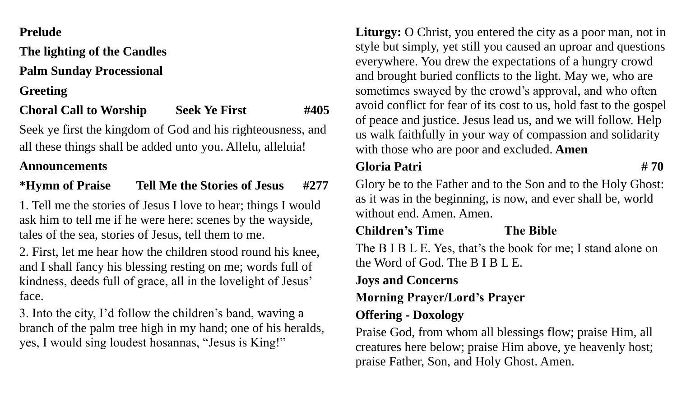#### **Prelude**

**The lighting of the Candles**

**Palm Sunday Processional**

**Greeting**

**Choral Call to Worship Seek Ye First #405**

Seek ye first the kingdom of God and his righteousness, and all these things shall be added unto you. Allelu, alleluia!

### **Announcements**

### **\*Hymn of Praise Tell Me the Stories of Jesus #277**

1. Tell me the stories of Jesus I love to hear; things I would ask him to tell me if he were here: scenes by the wayside, tales of the sea, stories of Jesus, tell them to me.

2. First, let me hear how the children stood round his knee, and I shall fancy his blessing resting on me; words full of kindness, deeds full of grace, all in the lovelight of Jesus' face.

3. Into the city, I'd follow the children's band, waving a branch of the palm tree high in my hand; one of his heralds, yes, I would sing loudest hosannas, "Jesus is King!"

Liturgy: O Christ, you entered the city as a poor man, not in style but simply, yet still you caused an uproar and questions everywhere. You drew the expectations of a hungry crowd and brought buried conflicts to the light. May we, who are sometimes swayed by the crowd's approval, and who often avoid conflict for fear of its cost to us, hold fast to the gospel of peace and justice. Jesus lead us, and we will follow. Help us walk faithfully in your way of compassion and solidarity with those who are poor and excluded. **Amen**

### **Gloria Patri # 70**

Glory be to the Father and to the Son and to the Holy Ghost: as it was in the beginning, is now, and ever shall be, world without end. Amen. Amen.

## **Children's Time The Bible**

The B I B L E. Yes, that's the book for me; I stand alone on the Word of God. The B I B L E.

## **Joys and Concerns**

## **Morning Prayer/Lord's Prayer**

# **Offering - Doxology**

Praise God, from whom all blessings flow; praise Him, all creatures here below; praise Him above, ye heavenly host; praise Father, Son, and Holy Ghost. Amen.